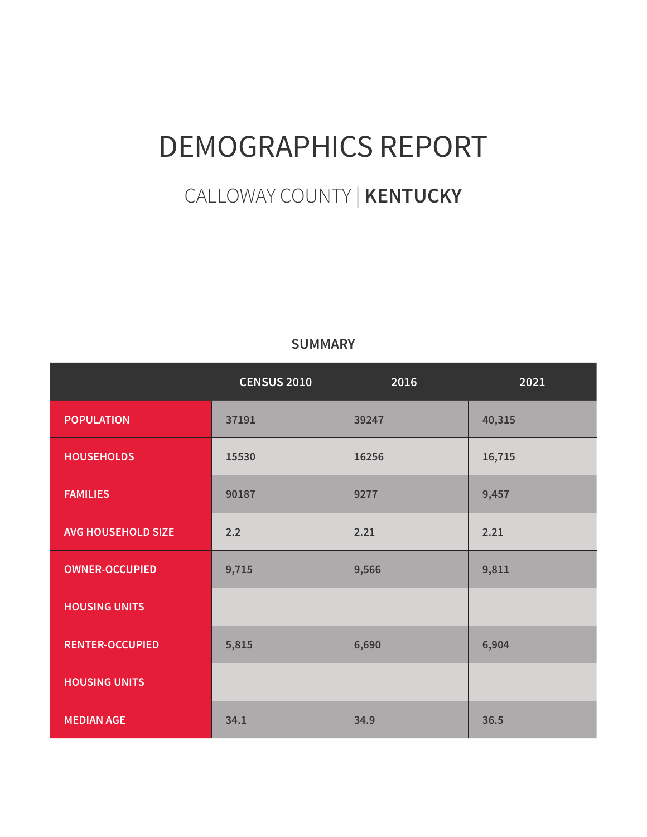# DEMOGRAPHICS REPORT

# CALLOWAY COUNTY | **KENTUCKY**

#### **SUMMARY**

|                           | <b>CENSUS 2010</b> | 2016  | 2021   |
|---------------------------|--------------------|-------|--------|
| <b>POPULATION</b>         | 37191              | 39247 | 40,315 |
| <b>HOUSEHOLDS</b>         | 15530              | 16256 | 16,715 |
| <b>FAMILIES</b>           | 90187              | 9277  | 9,457  |
| <b>AVG HOUSEHOLD SIZE</b> | 2.2                | 2.21  | 2.21   |
| <b>OWNER-OCCUPIED</b>     | 9,715              | 9,566 | 9,811  |
| <b>HOUSING UNITS</b>      |                    |       |        |
| <b>RENTER-OCCUPIED</b>    | 5,815              | 6,690 | 6,904  |
| <b>HOUSING UNITS</b>      |                    |       |        |
| <b>MEDIAN AGE</b>         | 34.1               | 34.9  | 36.5   |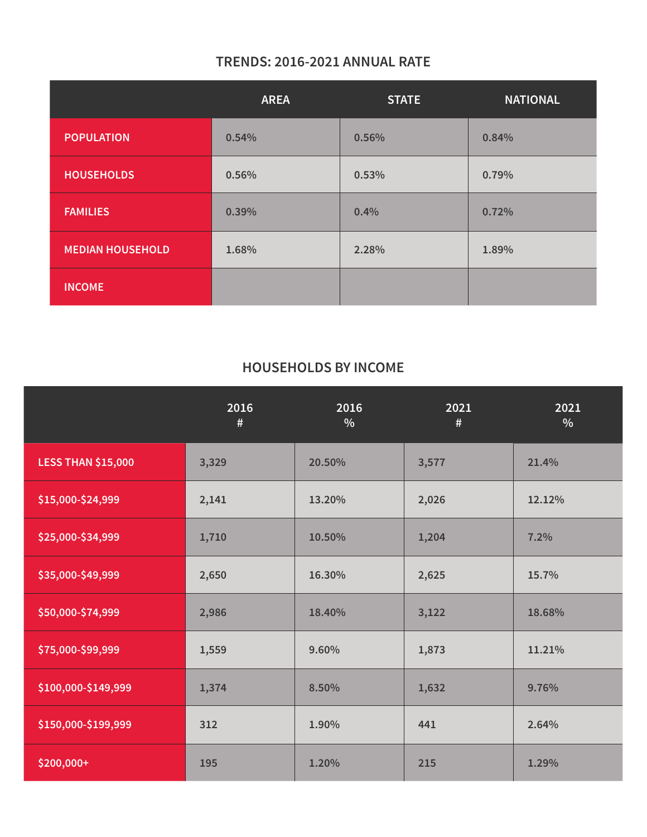## **TRENDS: 2016-2021 ANNUAL RATE**

|                         | <b>AREA</b> | <b>STATE</b> | <b>NATIONAL</b> |
|-------------------------|-------------|--------------|-----------------|
| <b>POPULATION</b>       | 0.54%       | 0.56%        | 0.84%           |
| <b>HOUSEHOLDS</b>       | 0.56%       | 0.53%        | 0.79%           |
| <b>FAMILIES</b>         | 0.39%       | 0.4%         | 0.72%           |
| <b>MEDIAN HOUSEHOLD</b> | 1.68%       | 2.28%        | 1.89%           |
| <b>INCOME</b>           |             |              |                 |

#### **HOUSEHOLDS BY INCOME**

|                           | 2016<br># | 2016<br>% | 2021<br>$\#$ | 2021<br>$\frac{0}{0}$ |
|---------------------------|-----------|-----------|--------------|-----------------------|
| <b>LESS THAN \$15,000</b> | 3,329     | 20.50%    | 3,577        | 21.4%                 |
| \$15,000-\$24,999         | 2,141     | 13.20%    | 2,026        | 12.12%                |
| \$25,000-\$34,999         | 1,710     | 10.50%    | 1,204        | 7.2%                  |
| \$35,000-\$49,999         | 2,650     | 16.30%    | 2,625        | 15.7%                 |
| \$50,000-\$74,999         | 2,986     | 18.40%    | 3,122        | 18.68%                |
| \$75,000-\$99,999         | 1,559     | 9.60%     | 1,873        | 11.21%                |
| \$100,000-\$149,999       | 1,374     | 8.50%     | 1,632        | 9.76%                 |
| \$150,000-\$199,999       | 312       | 1.90%     | 441          | 2.64%                 |
| $$200,000+$               | 195       | 1.20%     | 215          | 1.29%                 |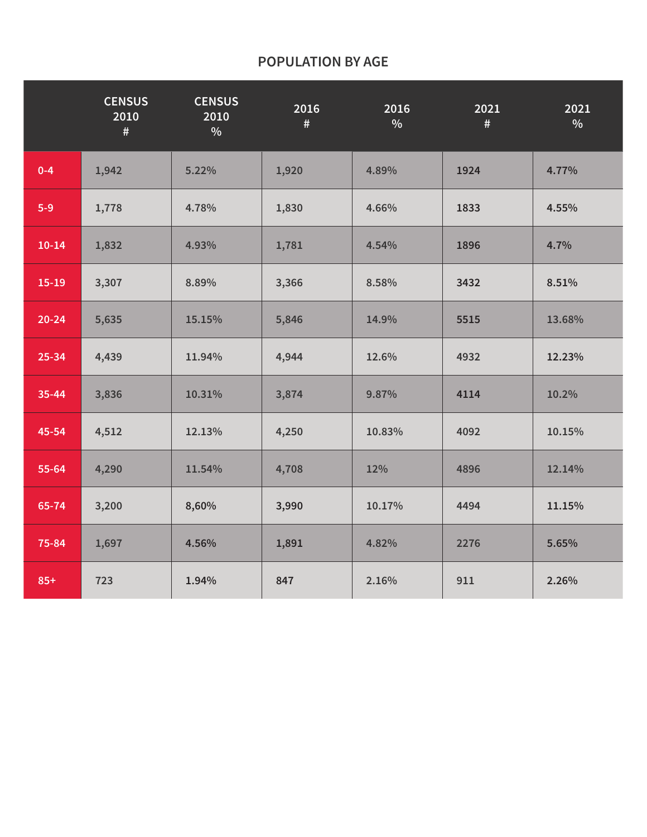#### **POPULATION BY AGE**

|           | <b>CENSUS</b><br>2010<br># | <b>CENSUS</b><br>2010<br>$\%$ | 2016<br>$\#$ | 2016<br>$\%$ | 2021<br># | 2021<br>$\%$ |
|-----------|----------------------------|-------------------------------|--------------|--------------|-----------|--------------|
| $0 - 4$   | 1,942                      | 5.22%                         | 1,920        | 4.89%        | 1924      | 4.77%        |
| $5-9$     | 1,778                      | 4.78%                         | 1,830        | 4.66%        | 1833      | 4.55%        |
| $10 - 14$ | 1,832                      | 4.93%                         | 1,781        | 4.54%        | 1896      | 4.7%         |
| $15-19$   | 3,307                      | 8.89%                         | 3,366        | 8.58%        | 3432      | 8.51%        |
| $20 - 24$ | 5,635                      | 15.15%                        | 5,846        | 14.9%        | 5515      | 13.68%       |
| 25-34     | 4,439                      | 11.94%                        | 4,944        | 12.6%        | 4932      | 12.23%       |
| 35-44     | 3,836                      | 10.31%                        | 3,874        | 9.87%        | 4114      | 10.2%        |
| 45-54     | 4,512                      | 12.13%                        | 4,250        | 10.83%       | 4092      | 10.15%       |
| 55-64     | 4,290                      | 11.54%                        | 4,708        | 12%          | 4896      | 12.14%       |
| 65-74     | 3,200                      | 8,60%                         | 3,990        | 10.17%       | 4494      | 11.15%       |
| 75-84     | 1,697                      | 4.56%                         | 1,891        | 4.82%        | 2276      | 5.65%        |
| $85+$     | 723                        | 1.94%                         | 847          | 2.16%        | 911       | 2.26%        |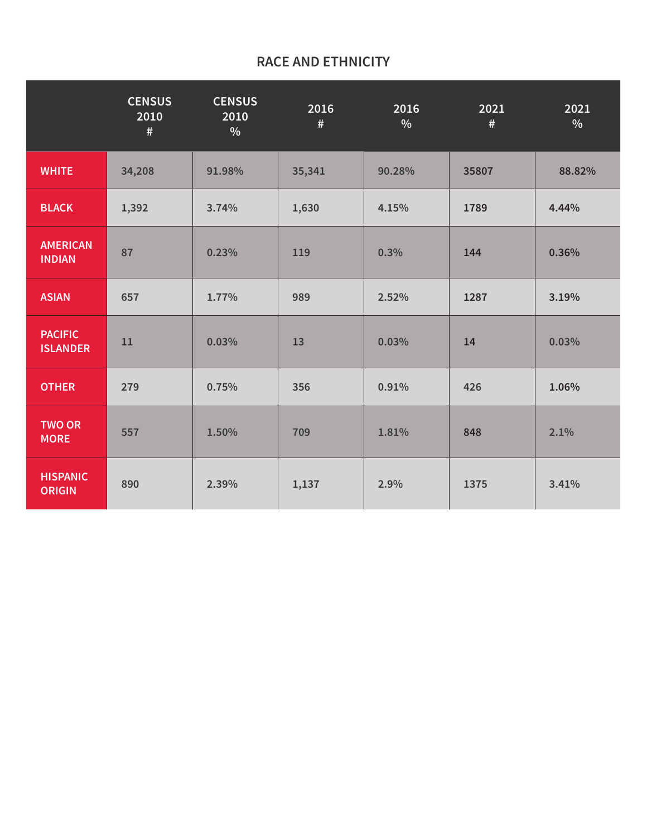#### **RACE AND ETHNICITY**

|                                   | <b>CENSUS</b><br>2010<br># | <b>CENSUS</b><br>2010<br>$\frac{0}{0}$ | 2016<br>$\#$ | 2016<br>$\frac{0}{0}$ | 2021<br># | 2021<br>$\%$ |
|-----------------------------------|----------------------------|----------------------------------------|--------------|-----------------------|-----------|--------------|
| <b>WHITE</b>                      | 34,208                     | 91.98%                                 | 35,341       | 90.28%                | 35807     | 88.82%       |
| <b>BLACK</b>                      | 1,392                      | 3.74%                                  | 1,630        | 4.15%                 | 1789      | 4.44%        |
| <b>AMERICAN</b><br><b>INDIAN</b>  | 87                         | 0.23%                                  | 119          | 0.3%                  | 144       | 0.36%        |
| <b>ASIAN</b>                      | 657                        | 1.77%                                  | 989          | 2.52%                 | 1287      | 3.19%        |
| <b>PACIFIC</b><br><b>ISLANDER</b> | 11                         | 0.03%                                  | 13           | 0.03%                 | 14        | 0.03%        |
| <b>OTHER</b>                      | 279                        | 0.75%                                  | 356          | 0.91%                 | 426       | 1.06%        |
| <b>TWO OR</b><br><b>MORE</b>      | 557                        | 1.50%                                  | 709          | 1.81%                 | 848       | 2.1%         |
| <b>HISPANIC</b><br><b>ORIGIN</b>  | 890                        | 2.39%                                  | 1,137        | 2.9%                  | 1375      | 3.41%        |